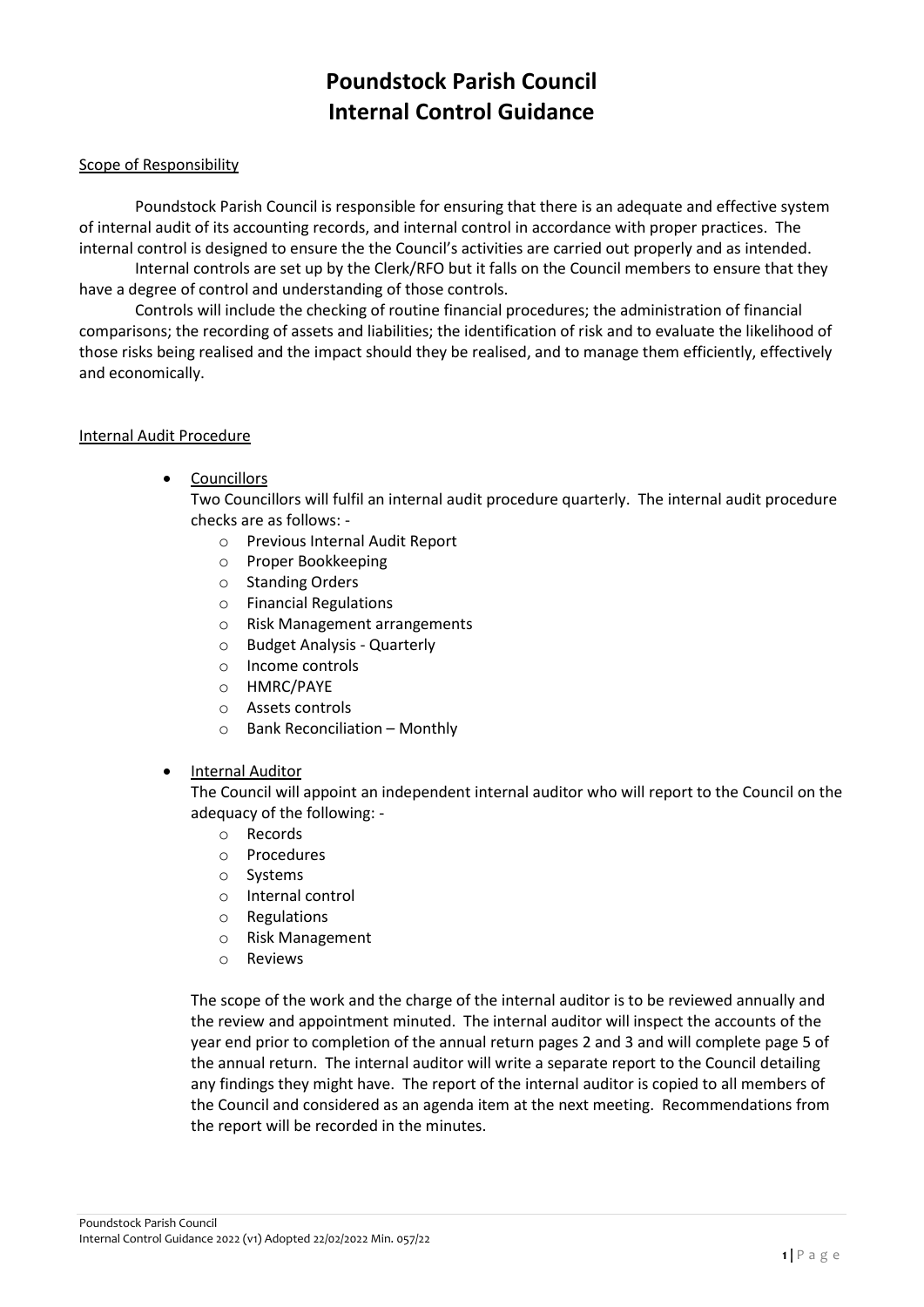# **Poundstock Parish Council Internal Control Guidance**

### Scope of Responsibility

Poundstock Parish Council is responsible for ensuring that there is an adequate and effective system of internal audit of its accounting records, and internal control in accordance with proper practices. The internal control is designed to ensure the the Council's activities are carried out properly and as intended.

Internal controls are set up by the Clerk/RFO but it falls on the Council members to ensure that they have a degree of control and understanding of those controls.

Controls will include the checking of routine financial procedures; the administration of financial comparisons; the recording of assets and liabilities; the identification of risk and to evaluate the likelihood of those risks being realised and the impact should they be realised, and to manage them efficiently, effectively and economically.

#### Internal Audit Procedure

**Councillors** 

Two Councillors will fulfil an internal audit procedure quarterly. The internal audit procedure checks are as follows: -

- o Previous Internal Audit Report
- o Proper Bookkeeping
- o Standing Orders
- o Financial Regulations
- o Risk Management arrangements
- o Budget Analysis Quarterly
- o Income controls
- o HMRC/PAYE
- o Assets controls
- o Bank Reconciliation Monthly

#### • Internal Auditor

The Council will appoint an independent internal auditor who will report to the Council on the adequacy of the following: -

- o Records
- o Procedures
- o Systems
- o Internal control
- o Regulations
- o Risk Management
- o Reviews

The scope of the work and the charge of the internal auditor is to be reviewed annually and the review and appointment minuted. The internal auditor will inspect the accounts of the year end prior to completion of the annual return pages 2 and 3 and will complete page 5 of the annual return. The internal auditor will write a separate report to the Council detailing any findings they might have. The report of the internal auditor is copied to all members of the Council and considered as an agenda item at the next meeting. Recommendations from the report will be recorded in the minutes.